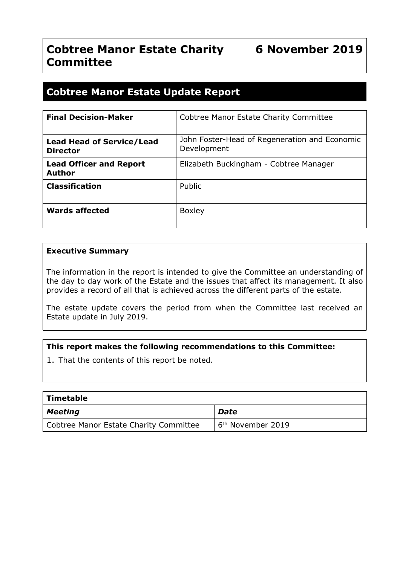# **Cobtree Manor Estate Charity 6 November 2019 Committee**

# **Cobtree Manor Estate Update Report**

| <b>Final Decision-Maker</b>                         | Cobtree Manor Estate Charity Committee                       |
|-----------------------------------------------------|--------------------------------------------------------------|
| <b>Lead Head of Service/Lead</b><br><b>Director</b> | John Foster-Head of Regeneration and Economic<br>Development |
| <b>Lead Officer and Report</b><br><b>Author</b>     | Elizabeth Buckingham - Cobtree Manager                       |
| <b>Classification</b>                               | Public                                                       |
| <b>Wards affected</b>                               | <b>Boxley</b>                                                |

#### **Executive Summary**

The information in the report is intended to give the Committee an understanding of the day to day work of the Estate and the issues that affect its management. It also provides a record of all that is achieved across the different parts of the estate.

The estate update covers the period from when the Committee last received an Estate update in July 2019.

## **This report makes the following recommendations to this Committee:**

1. That the contents of this report be noted.

| Timetable                              |                               |
|----------------------------------------|-------------------------------|
| Meeting                                | <b>Date</b>                   |
| Cobtree Manor Estate Charity Committee | 6 <sup>th</sup> November 2019 |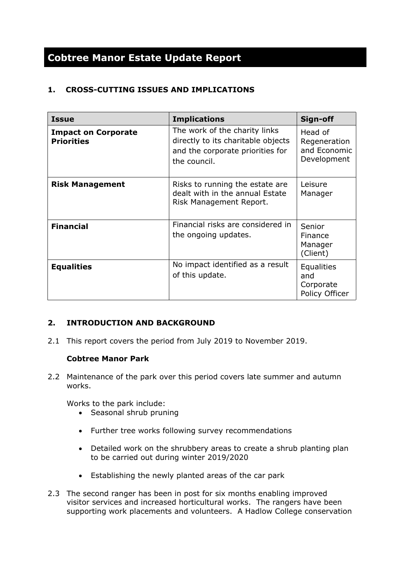# **Cobtree Manor Estate Update Report**

# **1. CROSS-CUTTING ISSUES AND IMPLICATIONS**

| <b>Issue</b>                                    | <b>Implications</b>                                                                                                     | Sign-off                                                |
|-------------------------------------------------|-------------------------------------------------------------------------------------------------------------------------|---------------------------------------------------------|
| <b>Impact on Corporate</b><br><b>Priorities</b> | The work of the charity links<br>directly to its charitable objects<br>and the corporate priorities for<br>the council. | Head of<br>Regeneration<br>and Economic<br>Development  |
| <b>Risk Management</b>                          | Risks to running the estate are<br>dealt with in the annual Estate<br>Risk Management Report.                           | Leisure<br>Manager                                      |
| <b>Financial</b>                                | Financial risks are considered in<br>the ongoing updates.                                                               | Senior<br>Finance<br>Manager<br>(Client)                |
| <b>Equalities</b>                               | No impact identified as a result<br>of this update.                                                                     | <b>Equalities</b><br>and<br>Corporate<br>Policy Officer |

# **2. INTRODUCTION AND BACKGROUND**

2.1 This report covers the period from July 2019 to November 2019.

## **Cobtree Manor Park**

2.2 Maintenance of the park over this period covers late summer and autumn works.

Works to the park include:

- Seasonal shrub pruning
- Further tree works following survey recommendations
- Detailed work on the shrubbery areas to create a shrub planting plan to be carried out during winter 2019/2020
- Establishing the newly planted areas of the car park
- 2.3 The second ranger has been in post for six months enabling improved visitor services and increased horticultural works. The rangers have been supporting work placements and volunteers. A Hadlow College conservation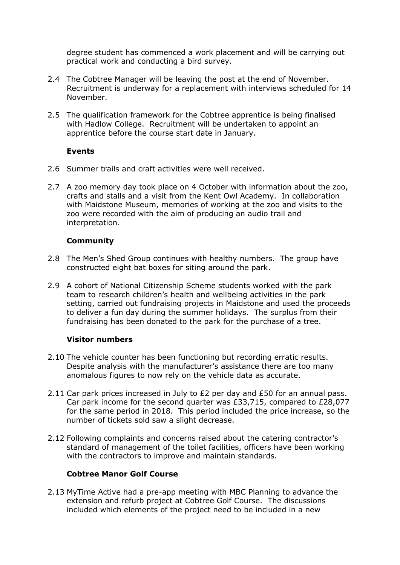degree student has commenced a work placement and will be carrying out practical work and conducting a bird survey.

- 2.4 The Cobtree Manager will be leaving the post at the end of November. Recruitment is underway for a replacement with interviews scheduled for 14 November.
- 2.5 The qualification framework for the Cobtree apprentice is being finalised with Hadlow College. Recruitment will be undertaken to appoint an apprentice before the course start date in January.

## **Events**

- 2.6 Summer trails and craft activities were well received.
- 2.7 A zoo memory day took place on 4 October with information about the zoo, crafts and stalls and a visit from the Kent Owl Academy. In collaboration with Maidstone Museum, memories of working at the zoo and visits to the zoo were recorded with the aim of producing an audio trail and interpretation.

## **Community**

- 2.8 The Men's Shed Group continues with healthy numbers. The group have constructed eight bat boxes for siting around the park.
- 2.9 A cohort of National Citizenship Scheme students worked with the park team to research children's health and wellbeing activities in the park setting, carried out fundraising projects in Maidstone and used the proceeds to deliver a fun day during the summer holidays. The surplus from their fundraising has been donated to the park for the purchase of a tree.

## **Visitor numbers**

- 2.10 The vehicle counter has been functioning but recording erratic results. Despite analysis with the manufacturer's assistance there are too many anomalous figures to now rely on the vehicle data as accurate.
- 2.11 Car park prices increased in July to £2 per day and £50 for an annual pass. Car park income for the second quarter was £33,715, compared to £28,077 for the same period in 2018. This period included the price increase, so the number of tickets sold saw a slight decrease.
- 2.12 Following complaints and concerns raised about the catering contractor's standard of management of the toilet facilities, officers have been working with the contractors to improve and maintain standards.

## **Cobtree Manor Golf Course**

2.13 MyTime Active had a pre-app meeting with MBC Planning to advance the extension and refurb project at Cobtree Golf Course. The discussions included which elements of the project need to be included in a new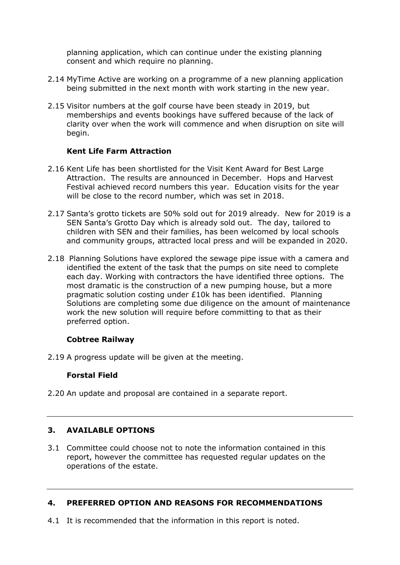planning application, which can continue under the existing planning consent and which require no planning.

- 2.14 MyTime Active are working on a programme of a new planning application being submitted in the next month with work starting in the new year.
- 2.15 Visitor numbers at the golf course have been steady in 2019, but memberships and events bookings have suffered because of the lack of clarity over when the work will commence and when disruption on site will begin.

## **Kent Life Farm Attraction**

- 2.16 Kent Life has been shortlisted for the Visit Kent Award for Best Large Attraction. The results are announced in December. Hops and Harvest Festival achieved record numbers this year. Education visits for the year will be close to the record number, which was set in 2018.
- 2.17 Santa's grotto tickets are 50% sold out for 2019 already. New for 2019 is a SEN Santa's Grotto Day which is already sold out. The day, tailored to children with SEN and their families, has been welcomed by local schools and community groups, attracted local press and will be expanded in 2020.
- 2.18 Planning Solutions have explored the sewage pipe issue with a camera and identified the extent of the task that the pumps on site need to complete each day. Working with contractors the have identified three options. The most dramatic is the construction of a new pumping house, but a more pragmatic solution costing under £10k has been identified. Planning Solutions are completing some due diligence on the amount of maintenance work the new solution will require before committing to that as their preferred option.

## **Cobtree Railway**

2.19 A progress update will be given at the meeting.

# **Forstal Field**

2.20 An update and proposal are contained in a separate report.

## **3. AVAILABLE OPTIONS**

3.1 Committee could choose not to note the information contained in this report, however the committee has requested regular updates on the operations of the estate.

## **4. PREFERRED OPTION AND REASONS FOR RECOMMENDATIONS**

4.1 It is recommended that the information in this report is noted.